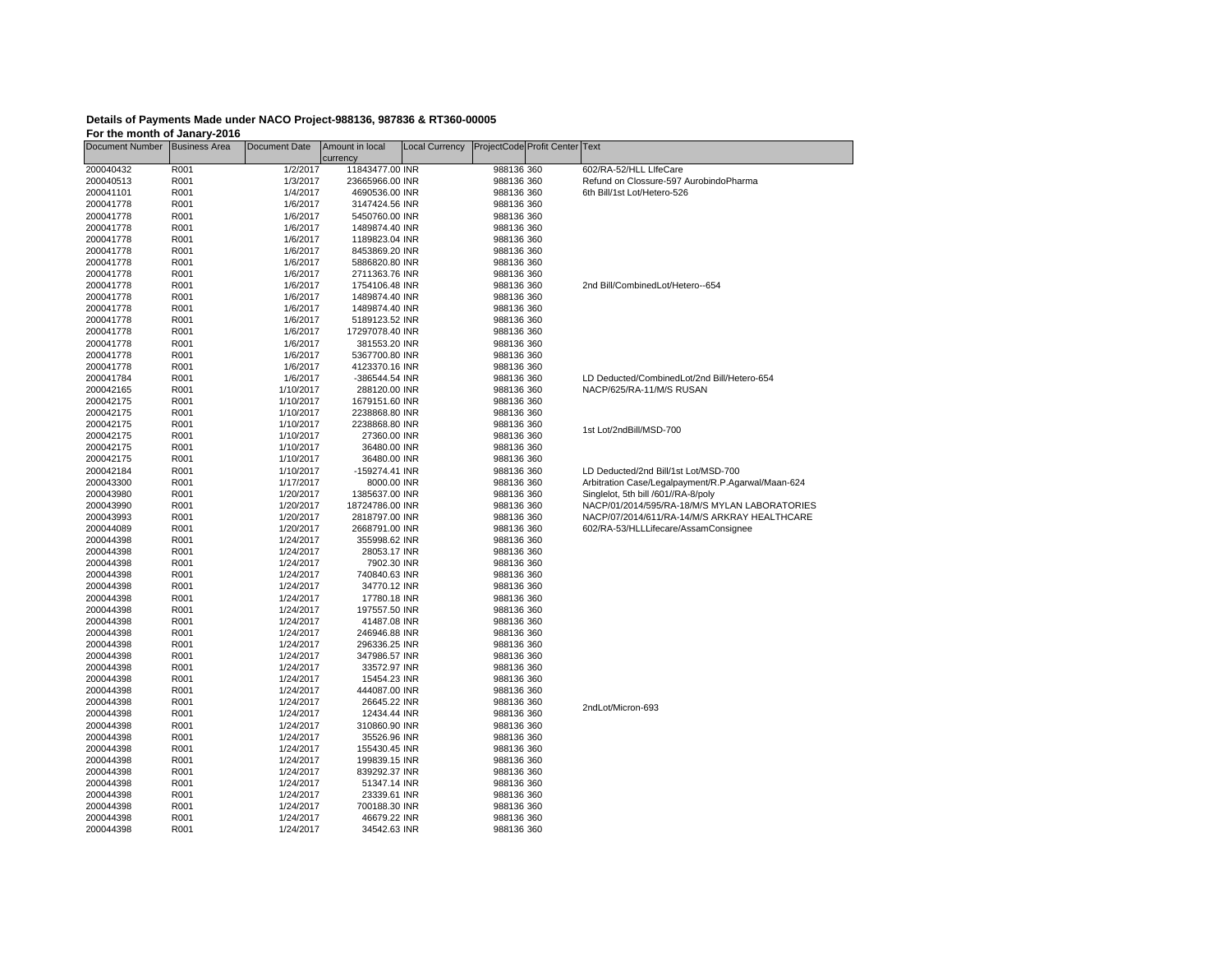## **Details of Payments Made under NACO Project-988136, 987836 & RT360-00005 For the month of Janary-2016**

Document Number Business Area Document Date Amount in local currency<br>11843477.00 INR Local Currency ProjectCode Profit Center Text 200040432 R001 1/2/2017 11843477.00 INR 988136 360 602/RA-52/HLL LIfeCare 200040513 R001 1/3/2017 23665966.00 INR 988136 360 Refund on Clossure-597 AurobindoPharma200041101 R001 1/4/2017 4690536.00 INR 988136 360 6th Bill/1st Lot/Hetero-526200041778 R001 1/6/2017 3147424.56 INR 988136 360 $\overline{\phantom{a}}$ 200041778 R001 1/6/2017 5450760.00 INR 200041778 R001 1/6/2017 1489874.40 INR 988136 360 200041778 R001 1/6/2017 1189823.04 INR 988136 360200041778 R001 1/6/2017 8453869.20 INR 988136 360200041778 R001 1/6/2017 5886820.80 INR 988136 360988136 360 200041778 R001 1/6/2017 2711363.76 INR 988136 360 200041778 R001 1/6/2017 1754106.48 INR 988136 360 200041778 R001 1/6/2017 1489874.40 INR 988136 360 200041778 R001 1/6/2017 1489874.40 INR 988136 360 200041778 R001 1/6/2017 5189123.52 INR 988136 360 200041778 R001 1/6/2017 17297078.40 INR 988136 360 200041778 R001 1/6/2017 381553.20 INR  $\overline{\phantom{a}}$ 200041778 R001 1/6/2017 5367700.80 INR 200041778 R001 1/6/2017 4123370.16 INR 988136 360200041784 R001 1/6/2017 -386544.54 INR 988136 360 LD Deducted/CombinedLot/2nd Bill/Hetero-654200042165 R001 1/10/2017 288120.00 INR 988136 360 NACP/625/RA-11/M/S RUSAN200042175 R001 1/10/2017 1679151.60 INR 988136 360988136 360 200042175 R001 1/10/2017 2238868.80 INR 200042175 R001 1/10/2017 2238868.80 INR 988136 360988136 360 200042175 R001 1/10/2017 27360.00 INR 988136 360 200042175 R001 1/10/2017 36480.00 INR 988136 360 200042175 R001 1/10/2017 36480.00 INR 988136 360 200042184 R001 1/10/2017 -159274.41 INR 988136 360 LD Deducted/2nd Bill/1st Lot/MSD-700 200043300 R001 1/17/2017 8000.00 INR 988136 360 Arbitration Case/Legalpayment/R.P.Agarwal/Maan-624 200043980 R001 1/20/2017 1385637.00 INR 988136 360 Singlelot, 5th bill /601//RA-8/poly 200043990 R001 1/20/2017 18724786.00 INR 988136 360 NACP/01/2014/595/RA-18/M/S MYLAN LABORATORIES 200043993 R001 1/20/2017 2818797.00 INR 988136 360 NACP/07/2014/611/RA-14/M/S ARKRAY HEALTHCARE 200044089 R001 1/20/2017 2668791.00 INR 988136 360 602/RA-53/HLLLifecare/AssamConsignee 200044398 R001 1/24/2017 355998.62 INR 988136 360200044398 R001 1/24/2017 28053.17 INR 988136 360200044398 R001 1/24/2017 7902.30 INR 988136 360988136 360 200044398 R001 1/24/2017 740840.63 INR 200044398 R001 1/24/2017 34770.12 INR 988136 360988136 360 200044398 R001 1/24/2017 17780.18 INR 988136 360 200044398 R001 1/24/2017 197557.50 INR 988136 360 200044398 R001 1/24/2017 41487.08 INR 988136 360 200044398 R001 1/24/2017 246946.88 INR  $\overline{\phantom{a}}$ 200044398 R001 1/24/2017 296336.25 INR 200044398 R001 1/24/2017 347986.57 INR 988136 360988136 360 200044398 R001 1/24/2017 33572.97 INR 200044398 R001 1/24/2017 15454.23 INR 988136 360200044398 R001 1/24/2017 444087.00 INR 988136 360988136 360 200044398 R001 1/24/2017 26645.22 INR 988136 360 200044398 R001 1/24/2017 12434.44 INR 988136 360 200044398 R001 1/24/2017 310860.90 INR 988136 360 200044398 R001 1/24/2017 35526.96 INR 988136 360 200044398 R001 1/24/2017 155430.45 INR 988136 360 200044398 R001 1/24/2017 199839.15 INR 988136 360 200044398 R001 1/24/2017 839292.37 INR 988136 360 200044398 R001 1/24/2017 51347.14 INR 988136 360 200044398 R001 1/24/2017 23339.61 INR 988136 360 200044398 R001 1/24/2017 700188.30 INR 200044398 R001 1/24/2017 46679.22 INR 988136 360 200044398 R001 1/24/2017 34542.63 INR 988136 3602nd Bill/CombinedLot/Hetero--654 1st Lot/2ndBill/MSD-7002ndLot/Micron-693